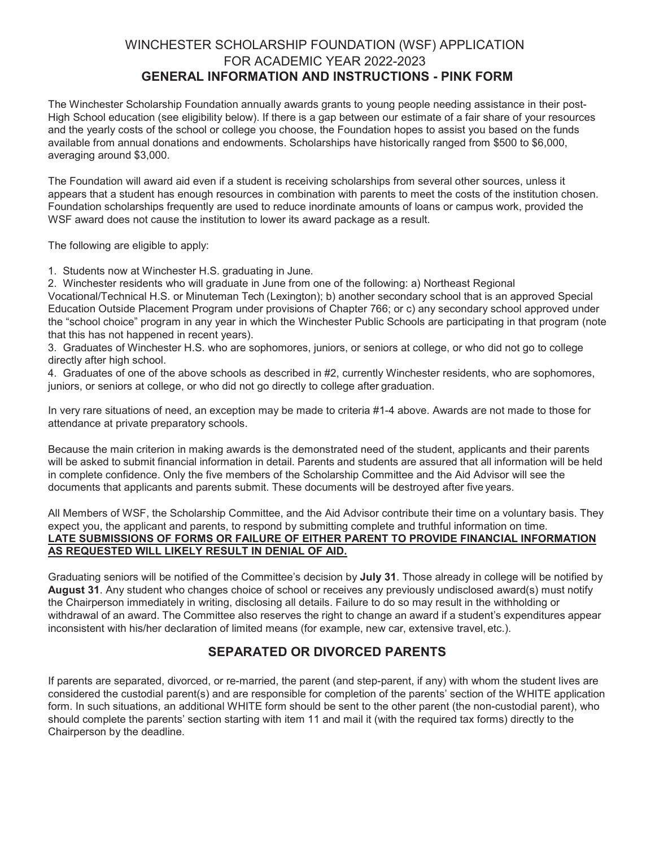# WINCHESTER SCHOLARSHIP FOUNDATION (WSF) APPLICATION FOR ACADEMIC YEAR 2022-2023 **GENERAL INFORMATION AND INSTRUCTIONS - PINK FORM**

The Winchester Scholarship Foundation annually awards grants to young people needing assistance in their post-High School education (see eligibility below). If there is a gap between our estimate of a fair share of your resources and the yearly costs of the school or college you choose, the Foundation hopes to assist you based on the funds available from annual donations and endowments. Scholarships have historically ranged from \$500 to \$6,000, averaging around \$3,000.

The Foundation will award aid even if a student is receiving scholarships from several other sources, unless it appears that a student has enough resources in combination with parents to meet the costs of the institution chosen. Foundation scholarships frequently are used to reduce inordinate amounts of loans or campus work, provided the WSF award does not cause the institution to lower its award package as a result.

The following are eligible to apply:

1. Students now at Winchester H.S. graduating in June.

2. Winchester residents who will graduate in June from one of the following: a) Northeast Regional Vocational/Technical H.S. or Minuteman Tech (Lexington); b) another secondary school that is an approved Special Education Outside Placement Program under provisions of Chapter 766; or c) any secondary school approved under the "school choice" program in any year in which the Winchester Public Schools are participating in that program (note that this has not happened in recent years).

3. Graduates of Winchester H.S. who are sophomores, juniors, or seniors at college, or who did not go to college directly after high school.

4. Graduates of one of the above schools as described in #2, currently Winchester residents, who are sophomores, juniors, or seniors at college, or who did not go directly to college after graduation.

In very rare situations of need, an exception may be made to criteria #1-4 above. Awards are not made to those for attendance at private preparatory schools.

Because the main criterion in making awards is the demonstrated need of the student, applicants and their parents will be asked to submit financial information in detail. Parents and students are assured that all information will be held in complete confidence. Only the five members of the Scholarship Committee and the Aid Advisor will see the documents that applicants and parents submit. These documents will be destroyed after five years.

All Members of WSF, the Scholarship Committee, and the Aid Advisor contribute their time on a voluntary basis. They expect you, the applicant and parents, to respond by submitting complete and truthful information on time. **LATE SUBMISSIONS OF FORMS OR FAILURE OF EITHER PARENT TO PROVIDE FINANCIAL INFORMATION AS REQUESTED WILL LIKELY RESULT IN DENIAL OF AID.**

Graduating seniors will be notified of the Committee's decision by **July 31**. Those already in college will be notified by **August 31**. Any student who changes choice of school or receives any previously undisclosed award(s) must notify the Chairperson immediately in writing, disclosing all details. Failure to do so may result in the withholding or withdrawal of an award. The Committee also reserves the right to change an award if a student's expenditures appear inconsistent with his/her declaration of limited means (for example, new car, extensive travel, etc.).

# **SEPARATED OR DIVORCED PARENTS**

If parents are separated, divorced, or re-married, the parent (and step-parent, if any) with whom the student lives are considered the custodial parent(s) and are responsible for completion of the parents' section of the WHITE application form. In such situations, an additional WHITE form should be sent to the other parent (the non-custodial parent), who should complete the parents' section starting with item 11 and mail it (with the required tax forms) directly to the Chairperson by the deadline.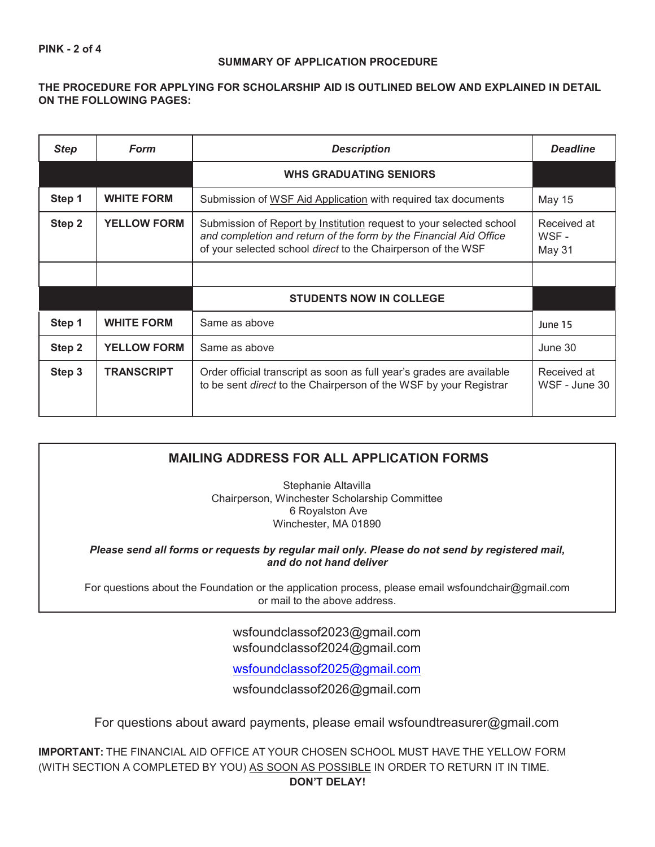### **SUMMARY OF APPLICATION PROCEDURE**

## **THE PROCEDURE FOR APPLYING FOR SCHOLARSHIP AID IS OUTLINED BELOW AND EXPLAINED IN DETAIL ON THE FOLLOWING PAGES:**

| <b>Step</b>                  | Form               | <b>Description</b>                                                                                                                                                                                       | <b>Deadline</b>                |
|------------------------------|--------------------|----------------------------------------------------------------------------------------------------------------------------------------------------------------------------------------------------------|--------------------------------|
|                              |                    | <b>WHS GRADUATING SENIORS</b>                                                                                                                                                                            |                                |
| Step 1                       | <b>WHITE FORM</b>  | Submission of WSF Aid Application with required tax documents                                                                                                                                            | <b>May 15</b>                  |
| <b>YELLOW FORM</b><br>Step 2 |                    | Submission of Report by Institution request to your selected school<br>and completion and return of the form by the Financial Aid Office<br>of your selected school direct to the Chairperson of the WSF | Received at<br>WSF -<br>May 31 |
|                              |                    |                                                                                                                                                                                                          |                                |
|                              |                    | <b>STUDENTS NOW IN COLLEGE</b>                                                                                                                                                                           |                                |
| Step 1                       | <b>WHITE FORM</b>  | Same as above                                                                                                                                                                                            | June 15                        |
| Step 2                       | <b>YELLOW FORM</b> | Same as above                                                                                                                                                                                            | June 30                        |
| Step 3                       | <b>TRANSCRIPT</b>  | Order official transcript as soon as full year's grades are available<br>to be sent direct to the Chairperson of the WSF by your Registrar                                                               | Received at<br>WSF - June 30   |

# **MAILING ADDRESS FOR ALL APPLICATION FORMS**

Stephanie Altavilla Chairperson, Winchester Scholarship Committee 6 Royalston Ave Winchester, MA 01890

*Please send all forms or requests by regular mail only. Please do not send by registered mail, and do not hand deliver*

For questions about the Foundation or the application process, please email [wsfoundchair@gmail.com](mailto:wsfoundchair@gmail.com) or mail to the above address.

> [wsfoundclassof2023@gmail.com](mailto:wsfoundclassof2023@gmail.com) [wsfoundclassof2024@gmail.com](mailto:wsfoundclassof2024@gmail.com)

> [wsfoundclassof2025@gmail.com](mailto:wsfoundclassof2025@gmail.com)

wsfoundclassof2026@gmail.com

For questions about award payments, please email [wsfoundtreasurer@gmail.com](mailto:wsfoundtreasurer@gmail.com)

**IMPORTANT:** THE FINANCIAL AID OFFICE AT YOUR CHOSEN SCHOOL MUST HAVE THE YELLOW FORM (WITH SECTION A COMPLETED BY YOU) AS SOON AS POSSIBLE IN ORDER TO RETURN IT IN TIME.

**DON'T DELAY!**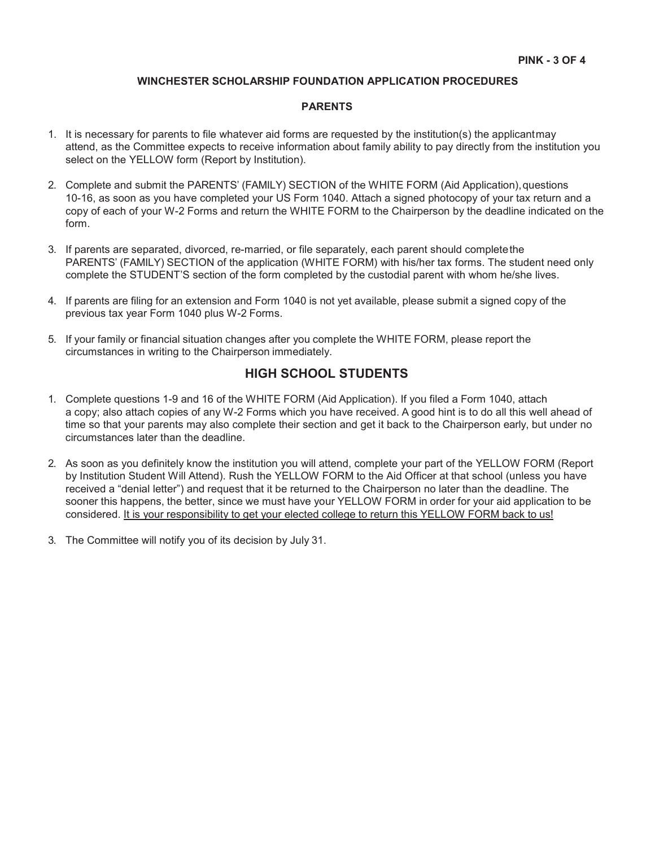#### **WINCHESTER SCHOLARSHIP FOUNDATION APPLICATION PROCEDURES**

#### **PARENTS**

- 1. It is necessary for parents to file whatever aid forms are requested by the institution(s) the applicantmay attend, as the Committee expects to receive information about family ability to pay directly from the institution you select on the YELLOW form (Report by Institution).
- 2. Complete and submit the PARENTS' (FAMILY) SECTION of the WHITE FORM (Aid Application),questions 10-16, as soon as you have completed your US Form 1040. Attach a signed photocopy of your tax return and a copy of each of your W-2 Forms and return the WHITE FORM to the Chairperson by the deadline indicated on the form.
- 3. If parents are separated, divorced, re-married, or file separately, each parent should completethe PARENTS' (FAMILY) SECTION of the application (WHITE FORM) with his/her tax forms. The student need only complete the STUDENT'S section of the form completed by the custodial parent with whom he/she lives.
- 4. If parents are filing for an extension and Form 1040 is not yet available, please submit a signed copy of the previous tax year Form 1040 plus W-2 Forms.
- 5. If your family or financial situation changes after you complete the WHITE FORM, please report the circumstances in writing to the Chairperson immediately.

## **HIGH SCHOOL STUDENTS**

- 1. Complete questions 1-9 and 16 of the WHITE FORM (Aid Application). If you filed a Form 1040, attach a copy; also attach copies of any W-2 Forms which you have received. A good hint is to do all this well ahead of time so that your parents may also complete their section and get it back to the Chairperson early, but under no circumstances later than the deadline.
- 2. As soon as you definitely know the institution you will attend, complete your part of the YELLOW FORM (Report by Institution Student Will Attend). Rush the YELLOW FORM to the Aid Officer at that school (unless you have received a "denial letter") and request that it be returned to the Chairperson no later than the deadline. The sooner this happens, the better, since we must have your YELLOW FORM in order for your aid application to be considered. It is your responsibility to get your elected college to return this YELLOW FORM back to us!
- 3. The Committee will notify you of its decision by July 31.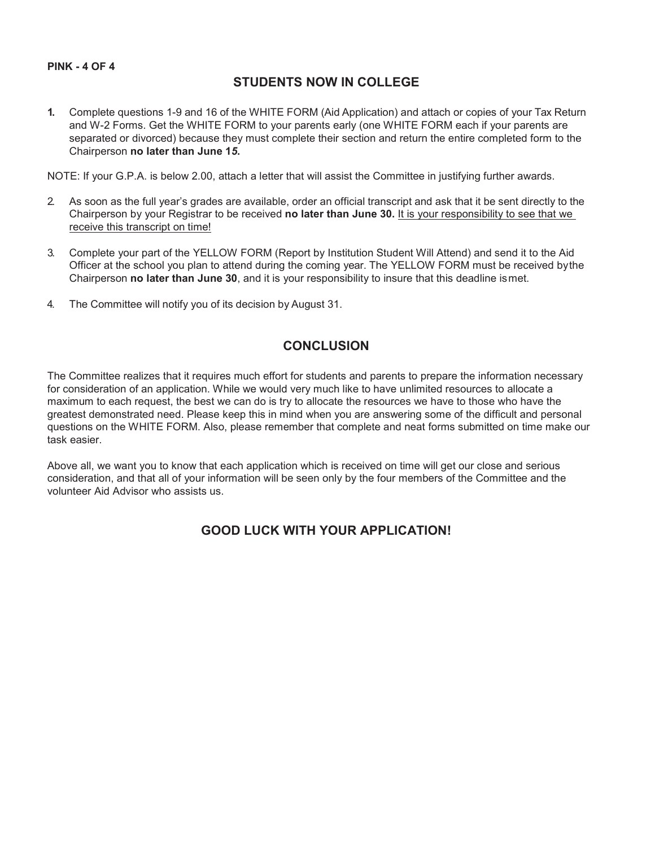### **PINK - 4 OF 4**

## **STUDENTS NOW IN COLLEGE**

**1.** Complete questions 1-9 and 16 of the WHITE FORM (Aid Application) and attach or copies of your Tax Return and W-2 Forms. Get the WHITE FORM to your parents early (one WHITE FORM each if your parents are separated or divorced) because they must complete their section and return the entire completed form to the Chairperson **no later than June 1***5***.**

NOTE: If your G.P.A. is below 2.00, attach a letter that will assist the Committee in justifying further awards.

- 2. As soon as the full year's grades are available, order an official transcript and ask that it be sent directly to the Chairperson by your Registrar to be received **no later than June 30.** It is your responsibility to see that we receive this transcript on time!
- 3. Complete your part of the YELLOW FORM (Report by Institution Student Will Attend) and send it to the Aid Officer at the school you plan to attend during the coming year. The YELLOW FORM must be received bythe Chairperson **no later than June 30**, and it is your responsibility to insure that this deadline ismet.
- 4. The Committee will notify you of its decision by August 31.

# **CONCLUSION**

The Committee realizes that it requires much effort for students and parents to prepare the information necessary for consideration of an application. While we would very much like to have unlimited resources to allocate a maximum to each request, the best we can do is try to allocate the resources we have to those who have the greatest demonstrated need. Please keep this in mind when you are answering some of the difficult and personal questions on the WHITE FORM. Also, please remember that complete and neat forms submitted on time make our task easier.

Above all, we want you to know that each application which is received on time will get our close and serious consideration, and that all of your information will be seen only by the four members of the Committee and the volunteer Aid Advisor who assists us.

# **GOOD LUCK WITH YOUR APPLICATION!**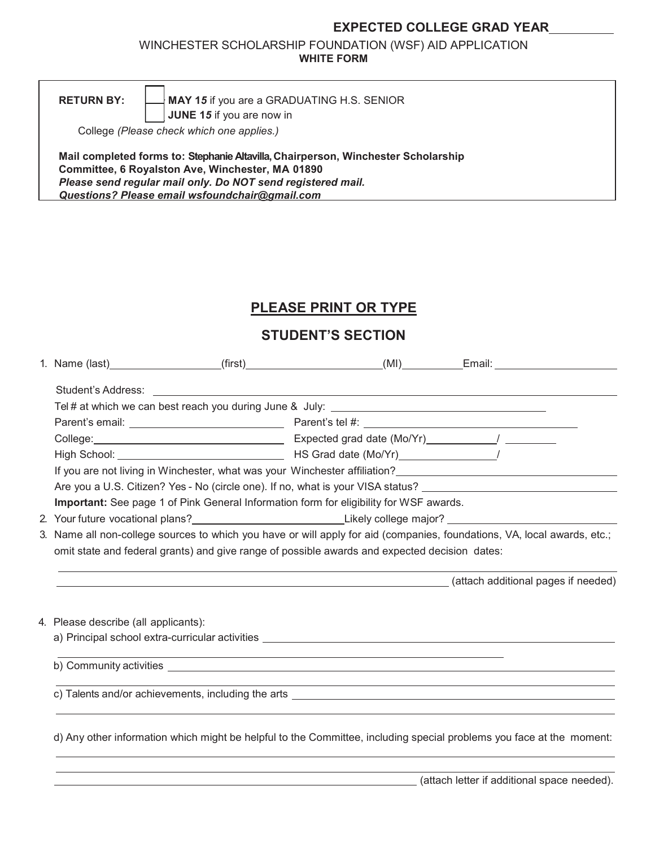# **EXPECTED COLLEGE GRAD YEAR**

WINCHESTER SCHOLARSHIP FOUNDATION (WSF) AID APPLICATION **WHITE FORM**

**RETURN BY:**

**JUNE 1***5* if you are now in **MAY 1***5* if you are a GRADUATING H.S. SENIOR

College *(Please check which one applies.)*

 $\blacksquare$ **\_\_\_**

**Mail completed forms to: Stephanie Altavilla, Chairperson, Winchester Scholarship Committee, 6 Royalston Ave, Winchester, MA 01890** *Please send regular mail only. Do NOT send registered mail. Questions? Please email [wsfoundchair@gmail.com](mailto:wsfoundchair@gmail.com)*

# **PLEASE PRINT OR TYPE**

# **STUDENT'S SECTION**

|                                                                                                                          | 1. Name (last)__________________(first)___________________(MI)_________Email: _____________________                                                                                                                                  |  |  |  |
|--------------------------------------------------------------------------------------------------------------------------|--------------------------------------------------------------------------------------------------------------------------------------------------------------------------------------------------------------------------------------|--|--|--|
|                                                                                                                          |                                                                                                                                                                                                                                      |  |  |  |
|                                                                                                                          |                                                                                                                                                                                                                                      |  |  |  |
|                                                                                                                          |                                                                                                                                                                                                                                      |  |  |  |
|                                                                                                                          |                                                                                                                                                                                                                                      |  |  |  |
|                                                                                                                          |                                                                                                                                                                                                                                      |  |  |  |
|                                                                                                                          |                                                                                                                                                                                                                                      |  |  |  |
|                                                                                                                          | Are you a U.S. Citizen? Yes - No (circle one). If no, what is your VISA status? ______________________________                                                                                                                       |  |  |  |
|                                                                                                                          | Important: See page 1 of Pink General Information form for eligibility for WSF awards.                                                                                                                                               |  |  |  |
|                                                                                                                          | 2. Your future vocational plans?________________________________Likely college major?_________________________                                                                                                                       |  |  |  |
| 3. Name all non-college sources to which you have or will apply for aid (companies, foundations, VA, local awards, etc.; |                                                                                                                                                                                                                                      |  |  |  |
|                                                                                                                          | omit state and federal grants) and give range of possible awards and expected decision dates:                                                                                                                                        |  |  |  |
|                                                                                                                          | (attach additional pages if needed) (attach additional pages if needed)                                                                                                                                                              |  |  |  |
| 4. Please describe (all applicants):                                                                                     |                                                                                                                                                                                                                                      |  |  |  |
|                                                                                                                          |                                                                                                                                                                                                                                      |  |  |  |
|                                                                                                                          |                                                                                                                                                                                                                                      |  |  |  |
|                                                                                                                          | c) Talents and/or achievements, including the arts <b>contract the entirely and the entirely of the entirely of the entirely of the entirely of the entire entirely and the entire entirely and the entire entirely and the enti</b> |  |  |  |
|                                                                                                                          | d) Any other information which might be helpful to the Committee, including special problems you face at the moment:                                                                                                                 |  |  |  |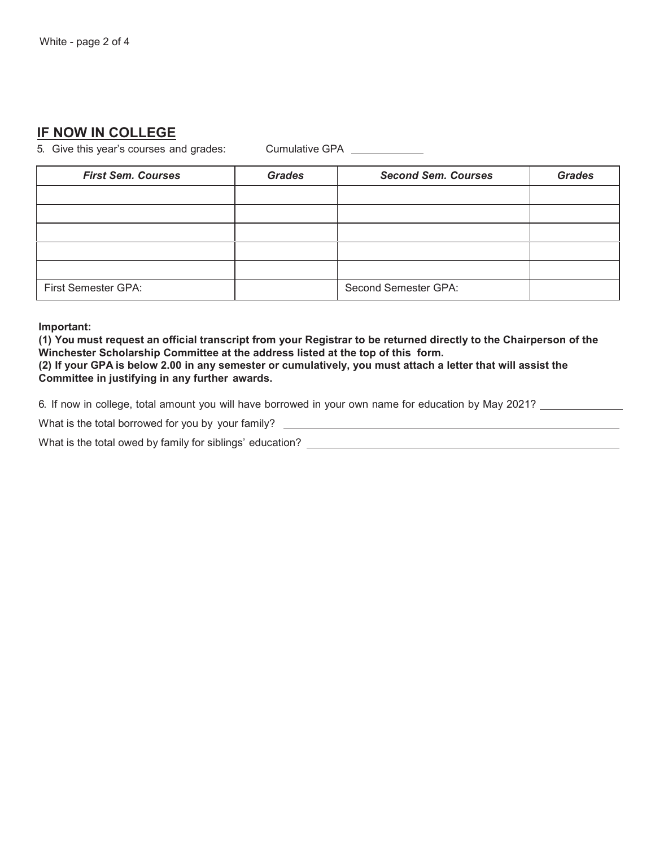# **IF NOW IN COLLEGE**

5. Give this year's courses and grades: Cumulative GPA

| <b>First Sem. Courses</b>  | <b>Grades</b> | <b>Second Sem. Courses</b> | <b>Grades</b> |
|----------------------------|---------------|----------------------------|---------------|
|                            |               |                            |               |
|                            |               |                            |               |
|                            |               |                            |               |
|                            |               |                            |               |
|                            |               |                            |               |
| <b>First Semester GPA:</b> |               | Second Semester GPA:       |               |

**Important:**

**(1) You must request an official transcript from your Registrar to be returned directly to the Chairperson of the Winchester Scholarship Committee at the address listed at the top of this form. (2) If your GPA is below 2.00 in any semester or cumulatively, you must attach a letter that will assist the Committee in justifying in any further awards.**

6. If now in college, total amount you will have borrowed in your own name for education by May 2021?

What is the total borrowed for you by your family?

What is the total owed by family for siblings' education?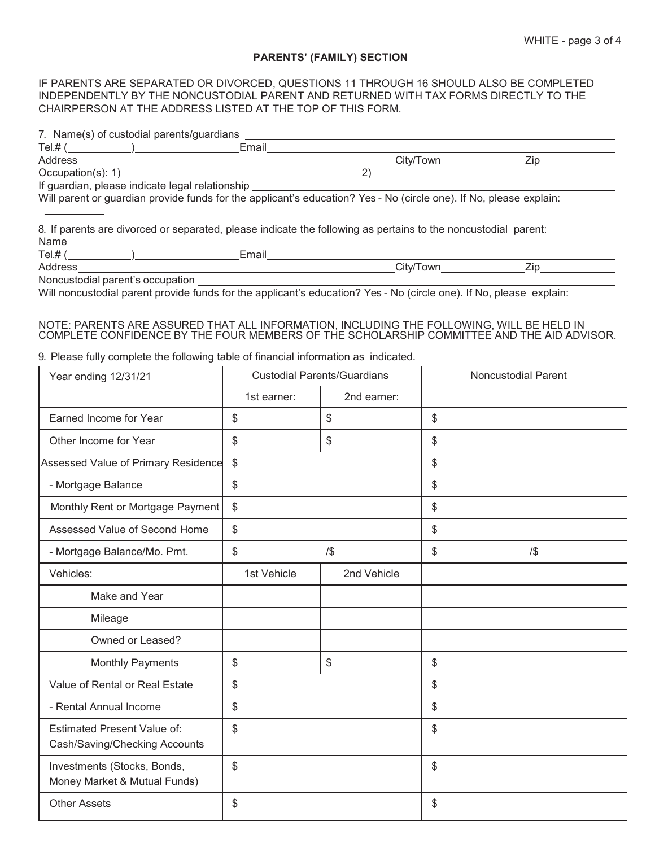### **PARENTS' (FAMILY) SECTION**

#### IF PARENTS ARE SEPARATED OR DIVORCED, QUESTIONS 11 THROUGH 16 SHOULD ALSO BE COMPLETED INDEPENDENTLY BY THE NONCUSTODIAL PARENT AND RETURNED WITH TAX FORMS DIRECTLY TO THE CHAIRPERSON AT THE ADDRESS LISTED AT THE TOP OF THIS FORM.

|  | 7. Name(s) of custodial parents/guardians |
|--|-------------------------------------------|
|  |                                           |

| $Tel.$ # $($                     | Email                                                                                                                                                                                                                                |           |     |
|----------------------------------|--------------------------------------------------------------------------------------------------------------------------------------------------------------------------------------------------------------------------------------|-----------|-----|
| <b>Address</b>                   |                                                                                                                                                                                                                                      | City/Town | Zip |
|                                  | Occupation(s): 1)                                                                                                                                                                                                                    | 2)        |     |
|                                  | If guardian, please indicate legal relationship                                                                                                                                                                                      |           |     |
| Name                             | Will parent or guardian provide funds for the applicant's education? Yes - No (circle one). If No, please explain:<br>8. If parents are divorced or separated, please indicate the following as pertains to the noncustodial parent: |           |     |
|                                  | Email                                                                                                                                                                                                                                |           |     |
| Address                          |                                                                                                                                                                                                                                      | City/Town | Zip |
| Noncustodial parent's occupation |                                                                                                                                                                                                                                      |           |     |
|                                  | Will perputadial perept provide fundo for the enplicant's education? Vee No (circle ano) If No please evaluation                                                                                                                     |           |     |

Will noncustodial parent provide funds for the applicant's education? Yes - No (circle one). If No, please explain:

#### NOTE: PARENTS ARE ASSURED THAT ALL INFORMATION, INCLUDING THE FOLLOWING, WILL BE HELD IN COMPLETE CONFIDENCE BY THE FOUR MEMBERS OF THE SCHOLARSHIP COMMITTEE AND THE AID ADVISOR.

#### 9. Please fully complete the following table of financial information as indicated.

| Year ending 12/31/21                                                | <b>Custodial Parents/Guardians</b> |             | <b>Noncustodial Parent</b> |
|---------------------------------------------------------------------|------------------------------------|-------------|----------------------------|
|                                                                     | 1st earner:                        | 2nd earner: |                            |
| Earned Income for Year                                              | \$                                 | \$          | \$                         |
| Other Income for Year                                               | \$                                 | \$          | \$                         |
| Assessed Value of Primary Residence                                 | \$                                 |             | \$                         |
| - Mortgage Balance                                                  | \$                                 |             | \$                         |
| Monthly Rent or Mortgage Payment                                    | \$                                 |             | \$                         |
| Assessed Value of Second Home                                       | \$                                 |             | \$                         |
| - Mortgage Balance/Mo. Pmt.                                         | \$                                 | $/$ \$      | \$<br>$/$ \$               |
| Vehicles:                                                           | 1st Vehicle                        | 2nd Vehicle |                            |
| Make and Year                                                       |                                    |             |                            |
| Mileage                                                             |                                    |             |                            |
| Owned or Leased?                                                    |                                    |             |                            |
| <b>Monthly Payments</b>                                             | \$                                 | \$          | \$                         |
| Value of Rental or Real Estate                                      | \$                                 |             | \$                         |
| - Rental Annual Income                                              | \$                                 |             | \$                         |
| <b>Estimated Present Value of:</b><br>Cash/Saving/Checking Accounts | \$                                 |             | \$                         |
| Investments (Stocks, Bonds,<br>Money Market & Mutual Funds)         | \$                                 |             | \$                         |
| <b>Other Assets</b>                                                 | \$                                 |             | \$                         |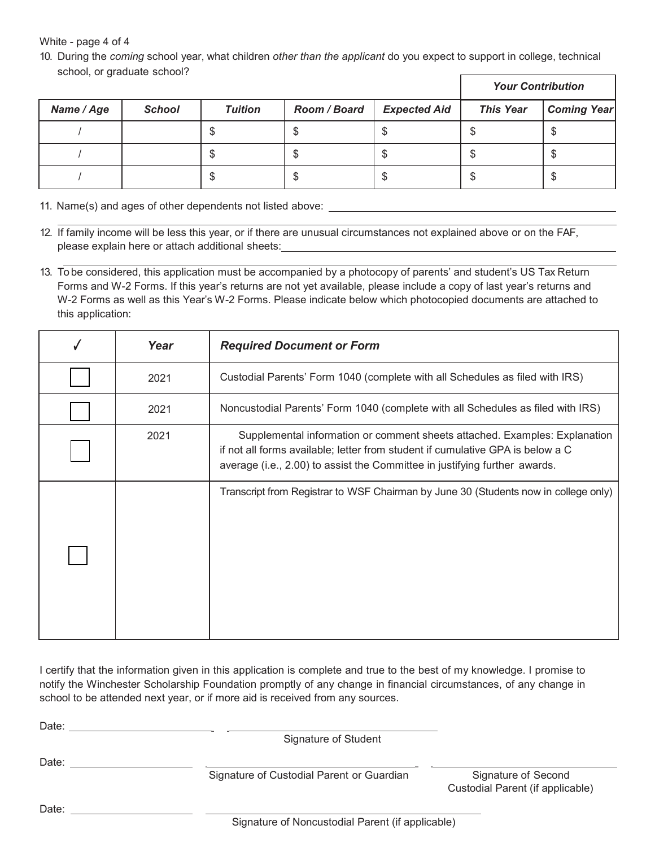White - page 4 of 4

10. During the *coming* school year, what children *other than the applicant* do you expect to support in college, technical school, or graduate school?

|            |               |                |              |                     | <b>Your Contribution</b> |                    |
|------------|---------------|----------------|--------------|---------------------|--------------------------|--------------------|
| Name / Age | <b>School</b> | <b>Tuition</b> | Room / Board | <b>Expected Aid</b> | <b>This Year</b>         | <b>Coming Year</b> |
|            |               |                |              |                     |                          | \$                 |
|            |               | ۰U             |              | ۰D                  | ۰D                       | \$                 |
|            |               |                |              |                     | D                        | \$                 |

11. Name(s) and ages of other dependents not listed above:

- 12. If family income will be less this year, or if there are unusual circumstances not explained above or on the FAF, please explain here or attach additional sheets:
- 13. To be considered, this application must be accompanied by a photocopy of parents' and student's US Tax Return Forms and W-2 Forms. If this year's returns are not yet available, please include a copy of last year's returns and W-2 Forms as well as this Year's W-2 Forms. Please indicate below which photocopied documents are attached to this application:

| Year | <b>Required Document or Form</b>                                                                                                                                                                                                           |
|------|--------------------------------------------------------------------------------------------------------------------------------------------------------------------------------------------------------------------------------------------|
| 2021 | Custodial Parents' Form 1040 (complete with all Schedules as filed with IRS)                                                                                                                                                               |
| 2021 | Noncustodial Parents' Form 1040 (complete with all Schedules as filed with IRS)                                                                                                                                                            |
| 2021 | Supplemental information or comment sheets attached. Examples: Explanation<br>if not all forms available; letter from student if cumulative GPA is below a C<br>average (i.e., 2.00) to assist the Committee in justifying further awards. |
|      | Transcript from Registrar to WSF Chairman by June 30 (Students now in college only)                                                                                                                                                        |

I certify that the information given in this application is complete and true to the best of my knowledge. I promise to notify the Winchester Scholarship Foundation promptly of any change in financial circumstances, of any change in school to be attended next year, or if more aid is received from any sources.

Date: **Date: Date: Date: Date: Date:** 

Signature of Student

Date: **Date:** 

\_\_ \_\_\_ Signature of Custodial Parent or Guardian Signature of Second

 $\overline{\phantom{a}}$ 

Custodial Parent (if applicable)

Date:

Signature of Noncustodial Parent (if applicable)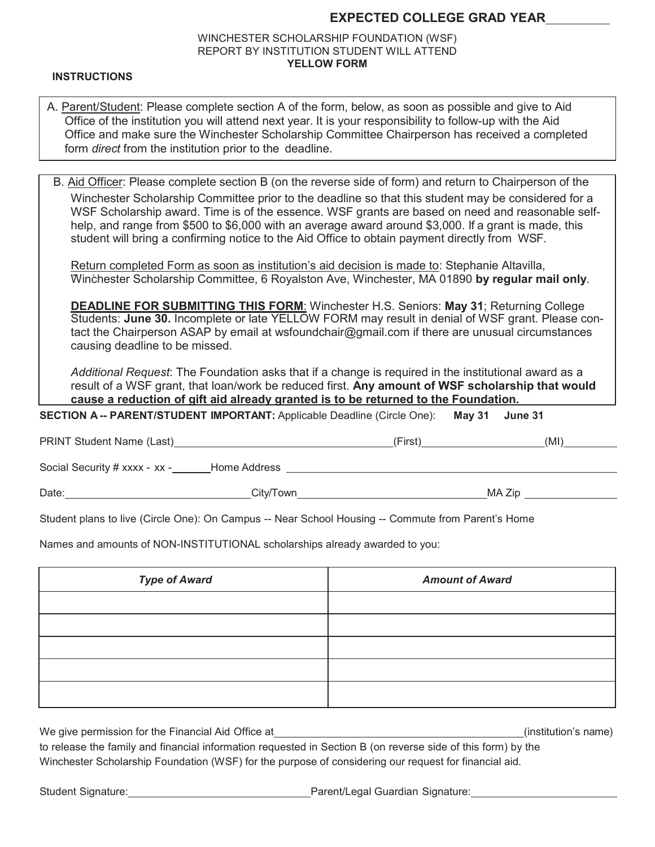# **EXPECTED COLLEGE GRAD YEAR**

## WINCHESTER SCHOLARSHIP FOUNDATION (WSF) REPORT BY INSTITUTION STUDENT WILL ATTEND **YELLOW FORM**

### **INSTRUCTIONS**

| A. Parent/Student: Please complete section A of the form, below, as soon as possible and give to Aid     |
|----------------------------------------------------------------------------------------------------------|
| Office of the institution you will attend next year. It is your responsibility to follow-up with the Aid |
| Office and make sure the Winchester Scholarship Committee Chairperson has received a completed           |
| form <i>direct</i> from the institution prior to the deadline.                                           |

B. Aid Officer: Please complete section B (on the reverse side of form) and return to Chairperson of the Winchester Scholarship Committee prior to the deadline so that this student may be considered for a WSF Scholarship award. Time is of the essence. WSF grants are based on need and reasonable selfhelp, and range from \$500 to \$6,000 with an average award around \$3,000. If a grant is made, this student will bring a confirming notice to the Aid Office to obtain payment directly from WSF.

Return completed Form as soon as institution's aid decision is made to: Stephanie Altavilla, Winchester Scholarship Committee, 6 Royalston Ave, Winchester, MA 01890 by regular mail only.

Students: **June 30.** Incomplete or late YELLOW FORM may result in denial of WSF grant. Please contact the Chairperson ASAP by email at [wsfoundchair@gmail.com i](mailto:wsfoundchair@gmail.com)f there are unusual circumstances causing deadline to be missed. **DEADLINE FOR SUBMITTING THIS FORM**: Winchester H.S. Seniors: **May 31**; Returning College

result of a WSF grant, that loan/work be reduced first. **Any amount of WSF scholarship that would** *Additional Request*: The Foundation asks that if a change is required in the institutional award as a **cause a reduction of gift aid already granted is to be returned to the Foundation.**

**SECTION A -- PARENT/STUDENT IMPORTANT:** Applicable Deadline (Circle One): **May 31 June 31** 

PRINT Student Name (Last)  $(NI)$ 

Social Security # xxxx - xx - Home Address

Date: MA Zip City/Town City/Town City/Town City/Town MA Zip

Student plans to live (Circle One): On Campus -- Near School Housing -- Commute from Parent's Home

Names and amounts of NON-INSTITUTIONAL scholarships already awarded to you:

| <b>Type of Award</b> | <b>Amount of Award</b> |
|----------------------|------------------------|
|                      |                        |
|                      |                        |
|                      |                        |
|                      |                        |
|                      |                        |

| We give permission for the Financial Aid Office at                                                            | (institution's name) |
|---------------------------------------------------------------------------------------------------------------|----------------------|
| to actores the family and flashed before step associated by Oscilea D /sa accessor wide of this fame) becites |                      |

to release the family and financial information requested in Section B (on reverse side of this form) by the Winchester Scholarship Foundation (WSF) for the purpose of considering our request for financial aid.

Student Signature: Parent/Legal Guardian Signature: